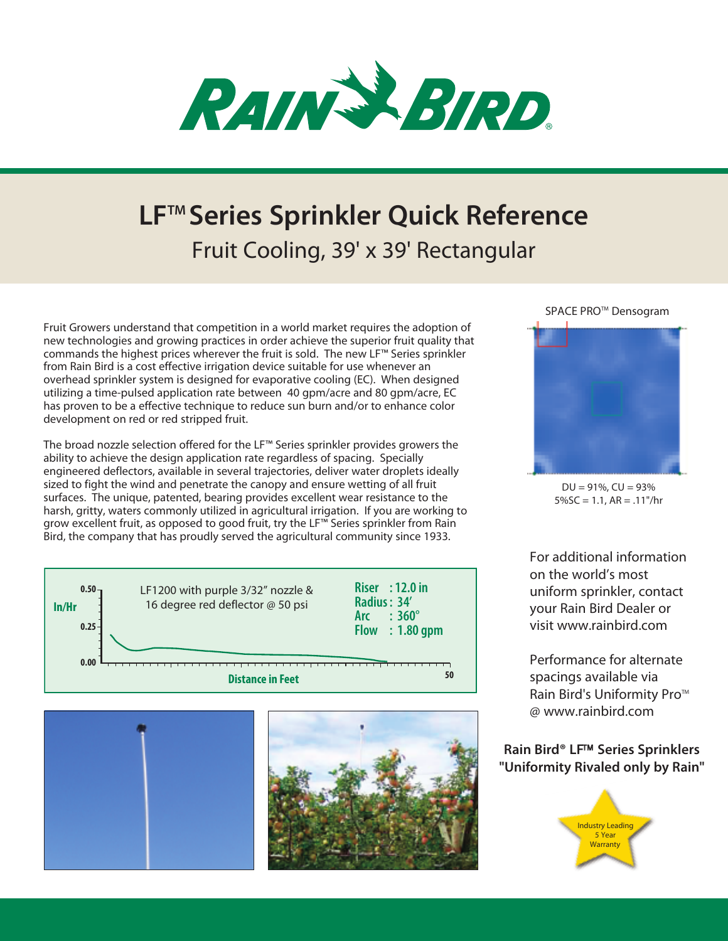

## **LFTM Series Sprinkler Quick Reference** Fruit Cooling, 39' x 39' Rectangular

Fruit Growers understand that competition in a world market requires the adoption of new technologies and growing practices in order achieve the superior fruit quality that commands the highest prices wherever the fruit is sold. The new LF™ Series sprinkler from Rain Bird is a cost effective irrigation device suitable for use whenever an overhead sprinkler system is designed for evaporative cooling (EC). When designed utilizing a time-pulsed application rate between 40 gpm/acre and 80 gpm/acre, EC has proven to be a effective technique to reduce sun burn and/or to enhance color development on red or red stripped fruit.

The broad nozzle selection offered for the LF™ Series sprinkler provides growers the ability to achieve the design application rate regardless of spacing. Specially engineered deflectors, available in several trajectories, deliver water droplets ideally sized to fight the wind and penetrate the canopy and ensure wetting of all fruit surfaces. The unique, patented, bearing provides excellent wear resistance to the harsh, gritty, waters commonly utilized in agricultural irrigation. If you are working to grow excellent fruit, as opposed to good fruit, try the LF™ Series sprinkler from Rain Bird, the company that has proudly served the agricultural community since 1933.







## SPACE PRO<sup>™</sup> Densogram



 $DU = 91\%$ ,  $CU = 93\%$  $5\%$ SC = 1.1, AR = .11"/hr

For additional information on the world's most uniform sprinkler, contact your Rain Bird Dealer or visit www.rainbird.com

Performance for alternate spacings available via Rain Bird's Uniformity Pro™ @ www.rainbird.com

## **Rain Bird<sup>®</sup> LF<sup>™</sup> Series Sprinklers "Uniformity Rivaled only by Rain"**